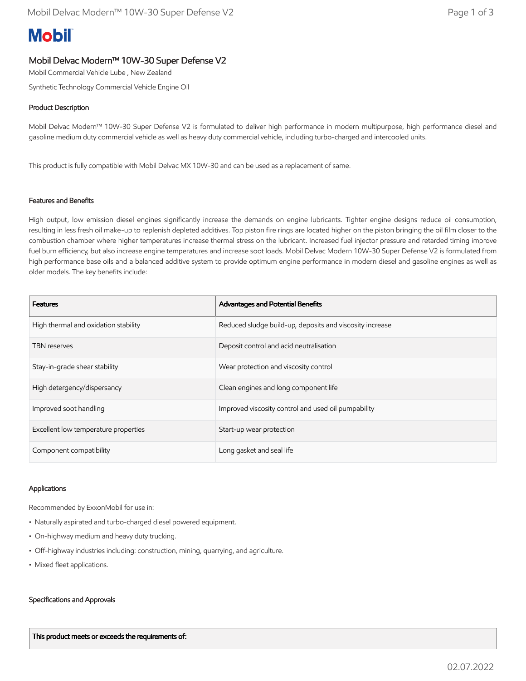# **Mobil**

## Mobil Delvac Modern™ 10W-30 Super Defense V2

Mobil Commercial Vehicle Lube , New Zealand

Synthetic Technology Commercial Vehicle Engine Oil

## Product Description

Mobil Delvac Modern™ 10W-30 Super Defense V2 is formulated to deliver high performance in modern multipurpose, high performance diesel and gasoline medium duty commercial vehicle as well as heavy duty commercial vehicle, including turbo-charged and intercooled units.

This product is fully compatible with Mobil Delvac MX 10W-30 and can be used as a replacement of same.

### Features and Benefits

High output, low emission diesel engines significantly increase the demands on engine lubricants. Tighter engine designs reduce oil consumption, resulting in less fresh oil make-up to replenish depleted additives. Top piston fire rings are located higher on the piston bringing the oil film closer to the combustion chamber where higher temperatures increase thermal stress on the lubricant. Increased fuel injector pressure and retarded timing improve fuel burn efficiency, but also increase engine temperatures and increase soot loads. Mobil Delvac Modern 10W-30 Super Defense V2 is formulated from high performance base oils and a balanced additive system to provide optimum engine performance in modern diesel and gasoline engines as well as older models. The key benefits include:

| <b>Features</b>                      | Advantages and Potential Benefits                        |
|--------------------------------------|----------------------------------------------------------|
| High thermal and oxidation stability | Reduced sludge build-up, deposits and viscosity increase |
| <b>TBN</b> reserves                  | Deposit control and acid neutralisation                  |
| Stay-in-grade shear stability        | Wear protection and viscosity control                    |
| High detergency/dispersancy          | Clean engines and long component life                    |
| Improved soot handling               | Improved viscosity control and used oil pumpability      |
| Excellent low temperature properties | Start-up wear protection                                 |
| Component compatibility              | Long gasket and seal life                                |

#### Applications

Recommended by ExxonMobil for use in:

- Naturally aspirated and turbo-charged diesel powered equipment.
- On-highway medium and heavy duty trucking.
- Off-highway industries including: construction, mining, quarrying, and agriculture.
- Mixed fleet applications.

#### Specifications and Approvals